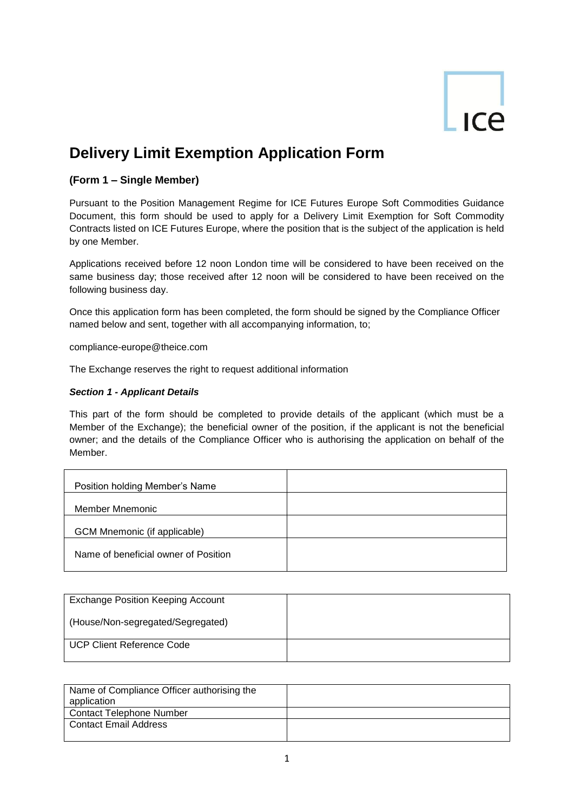# ICe

## **Delivery Limit Exemption Application Form**

## **(Form 1 – Single Member)**

Pursuant to the Position Management Regime for ICE Futures Europe Soft Commodities Guidance Document, this form should be used to apply for a Delivery Limit Exemption for Soft Commodity Contracts listed on ICE Futures Europe, where the position that is the subject of the application is held by one Member.

Applications received before 12 noon London time will be considered to have been received on the same business day; those received after 12 noon will be considered to have been received on the following business day.

Once this application form has been completed, the form should be signed by the Compliance Officer named below and sent, together with all accompanying information, to;

compliance-europe@theice.com

The Exchange reserves the right to request additional information

## *Section 1 - Applicant Details*

This part of the form should be completed to provide details of the applicant (which must be a Member of the Exchange); the beneficial owner of the position, if the applicant is not the beneficial owner; and the details of the Compliance Officer who is authorising the application on behalf of the Member.

| Position holding Member's Name       |  |
|--------------------------------------|--|
| Member Mnemonic                      |  |
| GCM Mnemonic (if applicable)         |  |
| Name of beneficial owner of Position |  |

| <b>Exchange Position Keeping Account</b> |  |
|------------------------------------------|--|
| (House/Non-segregated/Segregated)        |  |
| <b>UCP Client Reference Code</b>         |  |

| Name of Compliance Officer authorising the<br>application |  |
|-----------------------------------------------------------|--|
| <b>Contact Telephone Number</b>                           |  |
| Contact Email Address                                     |  |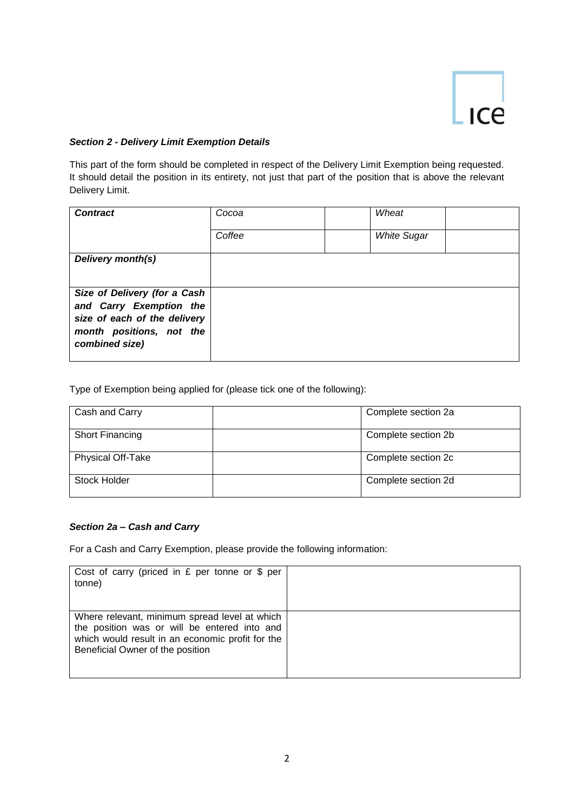

## *Section 2 - Delivery Limit Exemption Details*

This part of the form should be completed in respect of the Delivery Limit Exemption being requested. It should detail the position in its entirety, not just that part of the position that is above the relevant Delivery Limit.

| <b>Contract</b>                                                                                                                       | Cocoa  | Wheat              |  |
|---------------------------------------------------------------------------------------------------------------------------------------|--------|--------------------|--|
|                                                                                                                                       | Coffee | <b>White Sugar</b> |  |
| Delivery month(s)                                                                                                                     |        |                    |  |
| Size of Delivery (for a Cash<br>and Carry Exemption the<br>size of each of the delivery<br>month positions, not the<br>combined size) |        |                    |  |

Type of Exemption being applied for (please tick one of the following):

| Cash and Carry           | Complete section 2a |
|--------------------------|---------------------|
| Short Financing          | Complete section 2b |
| <b>Physical Off-Take</b> | Complete section 2c |
| Stock Holder             | Complete section 2d |

## *Section 2a – Cash and Carry*

For a Cash and Carry Exemption, please provide the following information:

| Cost of carry (priced in $E$ per tonne or $\frac{6}{9}$ per<br>tonne)                                                                                                                 |  |
|---------------------------------------------------------------------------------------------------------------------------------------------------------------------------------------|--|
| Where relevant, minimum spread level at which<br>the position was or will be entered into and<br>which would result in an economic profit for the<br>Beneficial Owner of the position |  |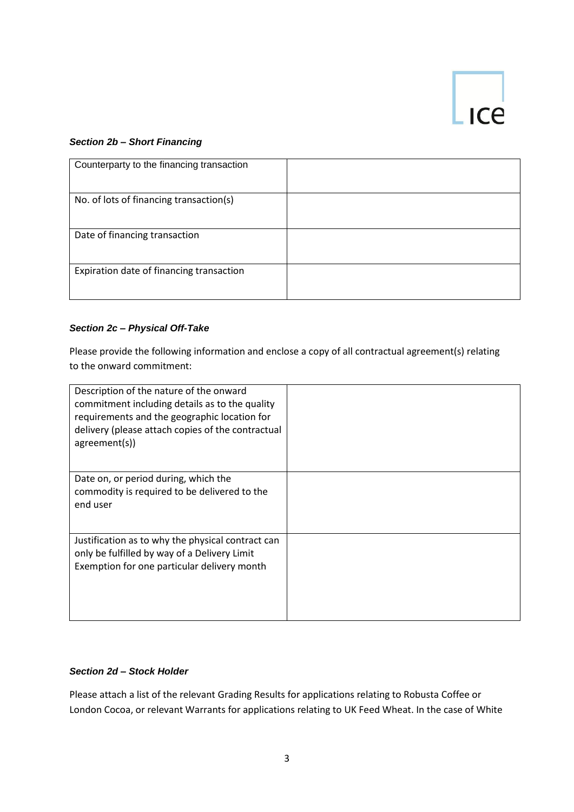## $\lfloor \frac{\ }{1} \rfloor$

## *Section 2b – Short Financing*

| Counterparty to the financing transaction |  |
|-------------------------------------------|--|
| No. of lots of financing transaction(s)   |  |
| Date of financing transaction             |  |
| Expiration date of financing transaction  |  |

## *Section 2c – Physical Off-Take*

Please provide the following information and enclose a copy of all contractual agreement(s) relating to the onward commitment:

| Description of the nature of the onward<br>commitment including details as to the quality<br>requirements and the geographic location for<br>delivery (please attach copies of the contractual<br>agreement(s)) |  |
|-----------------------------------------------------------------------------------------------------------------------------------------------------------------------------------------------------------------|--|
| Date on, or period during, which the<br>commodity is required to be delivered to the<br>end user                                                                                                                |  |
| Justification as to why the physical contract can<br>only be fulfilled by way of a Delivery Limit<br>Exemption for one particular delivery month                                                                |  |

## *Section 2d – Stock Holder*

Please attach a list of the relevant Grading Results for applications relating to Robusta Coffee or London Cocoa, or relevant Warrants for applications relating to UK Feed Wheat. In the case of White